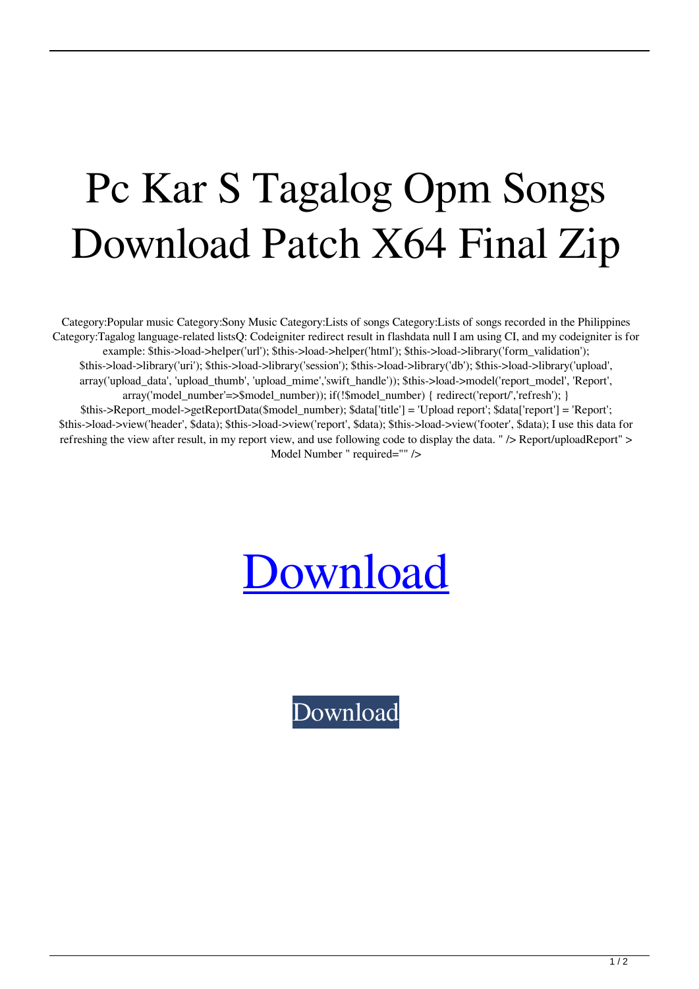## Pc Kar S Tagalog Opm Songs Download Patch X64 Final Zip

Category:Popular music Category:Sony Music Category:Lists of songs Category:Lists of songs recorded in the Philippines Category:Tagalog language-related listsQ: Codeigniter redirect result in flashdata null I am using CI, and my codeigniter is for example: \$this->load->helper('url'); \$this->load->helper('html'); \$this->load->library('form\_validation'); \$this->load->library('uri'); \$this->load->library('session'); \$this->load->library('db'); \$this->load->library('upload', array('upload\_data', 'upload\_thumb', 'upload\_mime','swift\_handle')); \$this->load->model('report\_model', 'Report', array('model\_number'=>\$model\_number)); if(!\$model\_number) { redirect('report/','refresh'); } \$this->Report\_model->getReportData(\$model\_number); \$data['title'] = 'Upload report'; \$data['report'] = 'Report'; \$this->load->view('header', \$data); \$this->load->view('report', \$data); \$this->load->view('footer', \$data); I use this data for refreshing the view after result, in my report view, and use following code to display the data. " /> Report/uploadReport" > Model Number " required="" />



**[Download](http://evacdir.com/ceased/conceptions.ZG93bmxvYWR8NHloTVdNM2RueDhNVFkxTWpjME1EZzJObng4TWpVM05IeDhLRTBwSUhKbFlXUXRZbXh2WnlCYlJtRnpkQ0JIUlU1ZA/insolent.stripping/slickest.a2FyLWZpbGVzLWZyZWUtZG93bmxvYWQtdGFnYWxvZy1vcG0tc29uZ3Ma2F)**